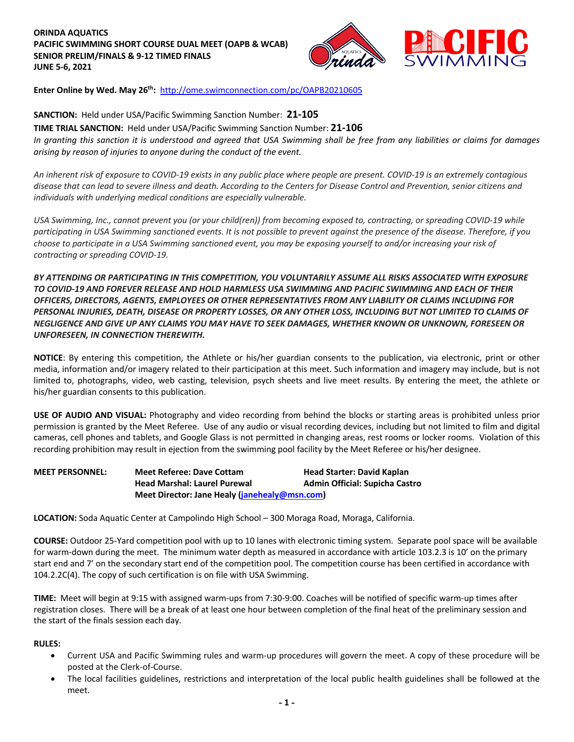# **ORINDA AQUATICS PACIFIC SWIMMING SHORT COURSE DUAL MEET (OAPB & WCAB) SENIOR PRELIM/FINALS & 9-12 TIMED FINALS JUNE 5-6, 2021**



**Enter Online by Wed. May 26th:** http://ome.swimconnection.com/pc/OAPB20210605

# **SANCTION:** Held under USA/Pacific Swimming Sanction Number: **21-105**

**TIME TRIAL SANCTION:** Held under USA/Pacific Swimming Sanction Number: **21-106**

*In granting this sanction it is understood and agreed that USA Swimming shall be free from any liabilities or claims for damages arising by reason of injuries to anyone during the conduct of the event.*

*An inherent risk of exposure to COVID-19 exists in any public place where people are present. COVID-19 is an extremely contagious disease that can lead to severe illness and death. According to the Centers for Disease Control and Prevention, senior citizens and individuals with underlying medical conditions are especially vulnerable.* 

*USA Swimming, Inc., cannot prevent you (or your child(ren)) from becoming exposed to, contracting, or spreading COVID-19 while participating in USA Swimming sanctioned events. It is not possible to prevent against the presence of the disease. Therefore, if you choose to participate in a USA Swimming sanctioned event, you may be exposing yourself to and/or increasing your risk of contracting or spreading COVID-19.*

*BY ATTENDING OR PARTICIPATING IN THIS COMPETITION, YOU VOLUNTARILY ASSUME ALL RISKS ASSOCIATED WITH EXPOSURE TO COVID-19 AND FOREVER RELEASE AND HOLD HARMLESS USA SWIMMING AND PACIFIC SWIMMING AND EACH OF THEIR OFFICERS, DIRECTORS, AGENTS, EMPLOYEES OR OTHER REPRESENTATIVES FROM ANY LIABILITY OR CLAIMS INCLUDING FOR PERSONAL INJURIES, DEATH, DISEASE OR PROPERTY LOSSES, OR ANY OTHER LOSS, INCLUDING BUT NOT LIMITED TO CLAIMS OF NEGLIGENCE AND GIVE UP ANY CLAIMS YOU MAY HAVE TO SEEK DAMAGES, WHETHER KNOWN OR UNKNOWN, FORESEEN OR UNFORESEEN, IN CONNECTION THEREWITH.* 

**NOTICE**: By entering this competition, the Athlete or his/her guardian consents to the publication, via electronic, print or other media, information and/or imagery related to their participation at this meet. Such information and imagery may include, but is not limited to, photographs, video, web casting, television, psych sheets and live meet results. By entering the meet, the athlete or his/her guardian consents to this publication.

**USE OF AUDIO AND VISUAL:** Photography and video recording from behind the blocks or starting areas is prohibited unless prior permission is granted by the Meet Referee. Use of any audio or visual recording devices, including but not limited to film and digital cameras, cell phones and tablets, and Google Glass is not permitted in changing areas, rest rooms or locker rooms. Violation of this recording prohibition may result in ejection from the swimming pool facility by the Meet Referee or his/her designee.

**MEET PERSONNEL: Meet Referee: Dave Cottam Head Starter: David Kaplan Head Marshal: Laurel Purewal Admin Official: Supicha Castro Meet Director: Jane Healy (janehealy@msn.com)**

**LOCATION:** Soda Aquatic Center at Campolindo High School – 300 Moraga Road, Moraga, California.

**COURSE:** Outdoor 25-Yard competition pool with up to 10 lanes with electronic timing system. Separate pool space will be available for warm-down during the meet. The minimum water depth as measured in accordance with article 103.2.3 is 10' on the primary start end and 7' on the secondary start end of the competition pool. The competition course has been certified in accordance with 104.2.2C(4). The copy of such certification is on file with USA Swimming.

**TIME:** Meet will begin at 9:15 with assigned warm-ups from 7:30-9:00. Coaches will be notified of specific warm-up times after registration closes. There will be a break of at least one hour between completion of the final heat of the preliminary session and the start of the finals session each day.

## **RULES:**

- Current USA and Pacific Swimming rules and warm-up procedures will govern the meet. A copy of these procedure will be posted at the Clerk-of-Course.
- The local facilities guidelines, restrictions and interpretation of the local public health guidelines shall be followed at the meet.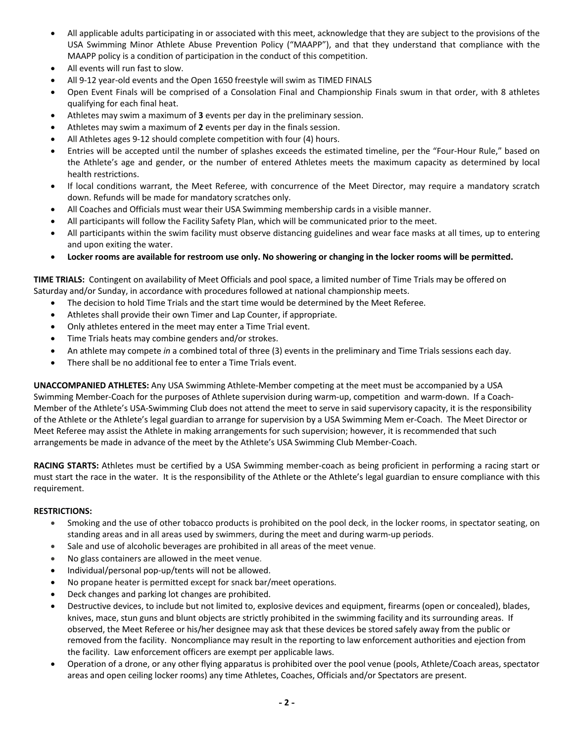- All applicable adults participating in or associated with this meet, acknowledge that they are subject to the provisions of the USA Swimming Minor Athlete Abuse Prevention Policy ("MAAPP"), and that they understand that compliance with the MAAPP policy is a condition of participation in the conduct of this competition.
- All events will run fast to slow.
- All 9-12 year-old events and the Open 1650 freestyle will swim as TIMED FINALS
- Open Event Finals will be comprised of a Consolation Final and Championship Finals swum in that order, with 8 athletes qualifying for each final heat.
- Athletes may swim a maximum of **3** events per day in the preliminary session.
- Athletes may swim a maximum of **2** events per day in the finals session.
- All Athletes ages 9-12 should complete competition with four (4) hours.
- Entries will be accepted until the number of splashes exceeds the estimated timeline, per the "Four-Hour Rule," based on the Athlete's age and gender, or the number of entered Athletes meets the maximum capacity as determined by local health restrictions.
- If local conditions warrant, the Meet Referee, with concurrence of the Meet Director, may require a mandatory scratch down. Refunds will be made for mandatory scratches only.
- All Coaches and Officials must wear their USA Swimming membership cards in a visible manner.
- All participants will follow the Facility Safety Plan, which will be communicated prior to the meet.
- All participants within the swim facility must observe distancing guidelines and wear face masks at all times, up to entering and upon exiting the water.
- **Locker rooms are available for restroom use only. No showering or changing in the locker rooms will be permitted.**

**TIME TRIALS:** Contingent on availability of Meet Officials and pool space, a limited number of Time Trials may be offered on Saturday and/or Sunday, in accordance with procedures followed at national championship meets.

- The decision to hold Time Trials and the start time would be determined by the Meet Referee.
- Athletes shall provide their own Timer and Lap Counter, if appropriate.
- Only athletes entered in the meet may enter a Time Trial event.
- Time Trials heats may combine genders and/or strokes.
- An athlete may compete *in* a combined total of three (3) events in the preliminary and Time Trials sessions each day.
- There shall be no additional fee to enter a Time Trials event.

**UNACCOMPANIED ATHLETES:** Any USA Swimming Athlete-Member competing at the meet must be accompanied by a USA Swimming Member-Coach for the purposes of Athlete supervision during warm-up, competition and warm-down. If a Coach-Member of the Athlete's USA-Swimming Club does not attend the meet to serve in said supervisory capacity, it is the responsibility of the Athlete or the Athlete's legal guardian to arrange for supervision by a USA Swimming Mem er-Coach. The Meet Director or Meet Referee may assist the Athlete in making arrangements for such supervision; however, it is recommended that such arrangements be made in advance of the meet by the Athlete's USA Swimming Club Member-Coach.

**RACING STARTS:** Athletes must be certified by a USA Swimming member-coach as being proficient in performing a racing start or must start the race in the water. It is the responsibility of the Athlete or the Athlete's legal guardian to ensure compliance with this requirement.

## **RESTRICTIONS:**

- Smoking and the use of other tobacco products is prohibited on the pool deck, in the locker rooms, in spectator seating, on standing areas and in all areas used by swimmers, during the meet and during warm-up periods.
- Sale and use of alcoholic beverages are prohibited in all areas of the meet venue.
- No glass containers are allowed in the meet venue.
- Individual/personal pop-up/tents will not be allowed.
- No propane heater is permitted except for snack bar/meet operations.
- Deck changes and parking lot changes are prohibited.
- Destructive devices, to include but not limited to, explosive devices and equipment, firearms (open or concealed), blades, knives, mace, stun guns and blunt objects are strictly prohibited in the swimming facility and its surrounding areas. If observed, the Meet Referee or his/her designee may ask that these devices be stored safely away from the public or removed from the facility. Noncompliance may result in the reporting to law enforcement authorities and ejection from the facility. Law enforcement officers are exempt per applicable laws.
- Operation of a drone, or any other flying apparatus is prohibited over the pool venue (pools, Athlete/Coach areas, spectator areas and open ceiling locker rooms) any time Athletes, Coaches, Officials and/or Spectators are present.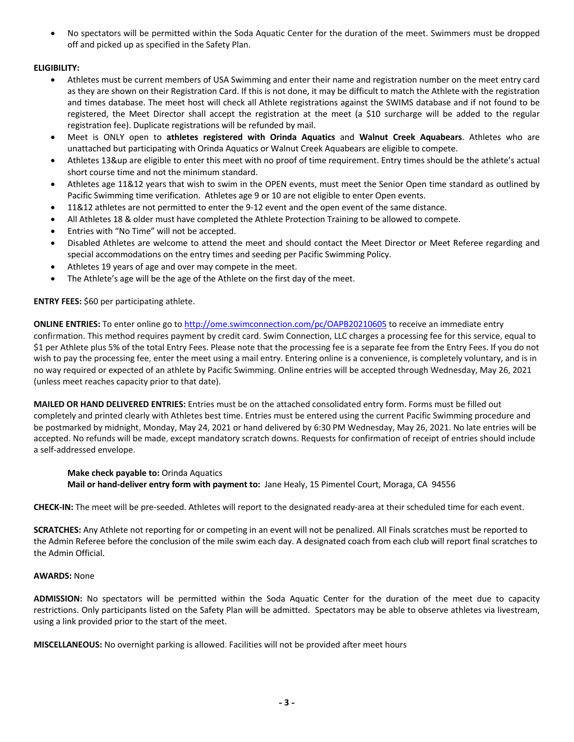• No spectators will be permitted within the Soda Aquatic Center for the duration of the meet. Swimmers must be dropped off and picked up as specified in the Safety Plan.

# **ELIGIBILITY:**

- Athletes must be current members of USA Swimming and enter their name and registration number on the meet entry card as they are shown on their Registration Card. If this is not done, it may be difficult to match the Athlete with the registration and times database. The meet host will check all Athlete registrations against the SWIMS database and if not found to be registered, the Meet Director shall accept the registration at the meet (a \$10 surcharge will be added to the regular registration fee). Duplicate registrations will be refunded by mail.
- Meet is ONLY open to **athletes registered with Orinda Aquatics** and **Walnut Creek Aquabears**. Athletes who are unattached but participating with Orinda Aquatics or Walnut Creek Aquabears are eligible to compete.
- Athletes 13&up are eligible to enter this meet with no proof of time requirement. Entry times should be the athlete's actual short course time and not the minimum standard.
- Athletes age 11&12 years that wish to swim in the OPEN events, must meet the Senior Open time standard as outlined by Pacific Swimming time verification. Athletes age 9 or 10 are not eligible to enter Open events.
- 11&12 athletes are not permitted to enter the 9-12 event and the open event of the same distance.
- All Athletes 18 & older must have completed the Athlete Protection Training to be allowed to compete.
- Entries with "No Time" will not be accepted.
- Disabled Athletes are welcome to attend the meet and should contact the Meet Director or Meet Referee regarding and special accommodations on the entry times and seeding per Pacific Swimming Policy.
- Athletes 19 years of age and over may compete in the meet.
- The Athlete's age will be the age of the Athlete on the first day of the meet.

## **ENTRY FEES:** \$60 per participating athlete.

**ONLINE ENTRIES:** To enter online go to http://ome.swimconnection.com/pc/OAPB20210605 to receive an immediate entry confirmation. This method requires payment by credit card. Swim Connection, LLC charges a processing fee for this service, equal to \$1 per Athlete plus 5% of the total Entry Fees. Please note that the processing fee is a separate fee from the Entry Fees. If you do not wish to pay the processing fee, enter the meet using a mail entry. Entering online is a convenience, is completely voluntary, and is in no way required or expected of an athlete by Pacific Swimming. Online entries will be accepted through Wednesday, May 26, 2021 (unless meet reaches capacity prior to that date).

**MAILED OR HAND DELIVERED ENTRIES:** Entries must be on the attached consolidated entry form. Forms must be filled out completely and printed clearly with Athletes best time. Entries must be entered using the current Pacific Swimming procedure and be postmarked by midnight, Monday, May 24, 2021 or hand delivered by 6:30 PM Wednesday, May 26, 2021. No late entries will be accepted. No refunds will be made, except mandatory scratch downs. Requests for confirmation of receipt of entries should include a self-addressed envelope.

## **Make check payable to:** Orinda Aquatics

**Mail or hand-deliver entry form with payment to:** Jane Healy, 15 Pimentel Court, Moraga, CA 94556

**CHECK-IN:** The meet will be pre-seeded. Athletes will report to the designated ready-area at their scheduled time for each event.

**SCRATCHES:** Any Athlete not reporting for or competing in an event will not be penalized. All Finals scratches must be reported to the Admin Referee before the conclusion of the mile swim each day. A designated coach from each club will report final scratches to the Admin Official.

## **AWARDS:** None

**ADMISSION:** No spectators will be permitted within the Soda Aquatic Center for the duration of the meet due to capacity restrictions. Only participants listed on the Safety Plan will be admitted. Spectators may be able to observe athletes via livestream, using a link provided prior to the start of the meet.

**MISCELLANEOUS:** No overnight parking is allowed. Facilities will not be provided after meet hours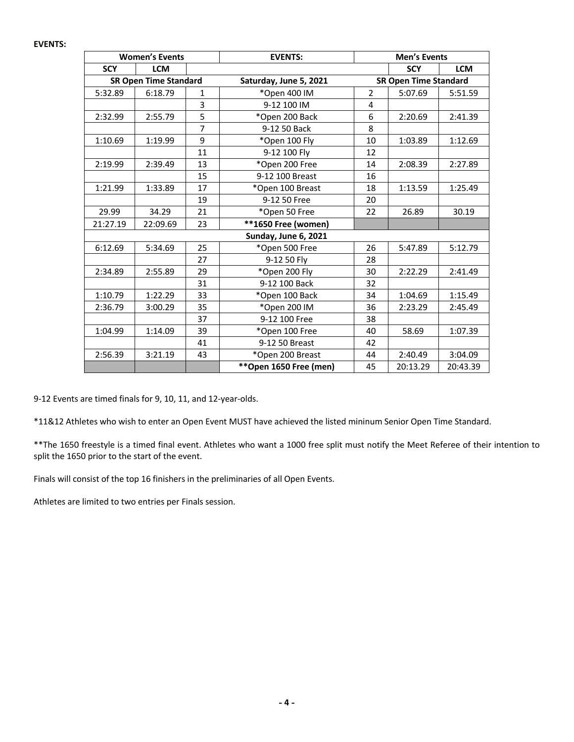#### **EVENTS:**

|                              | <b>Women's Events</b> |              | <b>EVENTS:</b>                | <b>Men's Events</b> |                              |            |  |  |
|------------------------------|-----------------------|--------------|-------------------------------|---------------------|------------------------------|------------|--|--|
| <b>SCY</b>                   | <b>LCM</b>            |              |                               |                     | <b>SCY</b>                   | <b>LCM</b> |  |  |
| <b>SR Open Time Standard</b> |                       |              | Saturday, June 5, 2021        |                     | <b>SR Open Time Standard</b> |            |  |  |
| 5:32.89                      | 6:18.79               | $\mathbf{1}$ | *Open 400 IM                  | $\overline{2}$      | 5:07.69                      | 5:51.59    |  |  |
|                              |                       | 3            | 9-12 100 IM                   | 4                   |                              |            |  |  |
| 2:32.99                      | 2:55.79               | 5            | *Open 200 Back                | 6                   | 2:20.69                      | 2:41.39    |  |  |
|                              |                       | 7            | 9-12 50 Back                  | 8                   |                              |            |  |  |
| 1:10.69                      | 1:19.99               | 9            | *Open 100 Fly                 | 10                  | 1:03.89                      | 1:12.69    |  |  |
|                              |                       | 11           | 9-12 100 Fly                  | 12                  |                              |            |  |  |
| 2:19.99                      | 2:39.49               | 13           | *Open 200 Free                | 14                  | 2:08.39                      | 2:27.89    |  |  |
|                              |                       | 15           | 9-12 100 Breast               | 16                  |                              |            |  |  |
| 1:21.99                      | 1:33.89               | 17           | *Open 100 Breast              | 18                  | 1:13.59                      | 1:25.49    |  |  |
|                              |                       | 19           | 9-12 50 Free                  | 20                  |                              |            |  |  |
| 29.99                        | 34.29                 | 21           | *Open 50 Free                 | 22                  | 26.89                        | 30.19      |  |  |
| 21:27.19                     | 22:09.69              | 23           | **1650 Free (women)           |                     |                              |            |  |  |
|                              |                       |              |                               |                     |                              |            |  |  |
| 6:12.69                      | 5:34.69               | 25           | *Open 500 Free                | 26                  | 5:47.89                      | 5:12.79    |  |  |
|                              |                       | 27           | 9-12 50 Fly                   | 28                  |                              |            |  |  |
| 2:34.89                      | 2:55.89               | 29           | *Open 200 Fly                 | 30                  | 2:22.29                      | 2:41.49    |  |  |
|                              |                       | 31           | 9-12 100 Back                 | 32                  |                              |            |  |  |
| 1:10.79                      | 1:22.29               | 33           | *Open 100 Back                | 34                  | 1:04.69                      | 1:15.49    |  |  |
| 2:36.79                      | 3:00.29               | 35           | *Open 200 IM                  | 36                  | 2:23.29                      | 2:45.49    |  |  |
|                              |                       | 37           | 9-12 100 Free                 | 38                  |                              |            |  |  |
| 1:04.99                      | 1:14.09               | 39           | *Open 100 Free                | 40                  | 58.69                        | 1:07.39    |  |  |
|                              |                       | 41           | 9-12 50 Breast                | 42                  |                              |            |  |  |
| 2:56.39                      | 3:21.19               | 43           | *Open 200 Breast              | 44                  | 2:40.49                      | 3:04.09    |  |  |
|                              |                       |              | ** Open 1650 Free (men)<br>45 |                     | 20:13.29                     | 20:43.39   |  |  |

9-12 Events are timed finals for 9, 10, 11, and 12-year-olds.

\*11&12 Athletes who wish to enter an Open Event MUST have achieved the listed mininum Senior Open Time Standard.

\*\*The 1650 freestyle is a timed final event. Athletes who want a 1000 free split must notify the Meet Referee of their intention to split the 1650 prior to the start of the event.

Finals will consist of the top 16 finishers in the preliminaries of all Open Events.

Athletes are limited to two entries per Finals session.